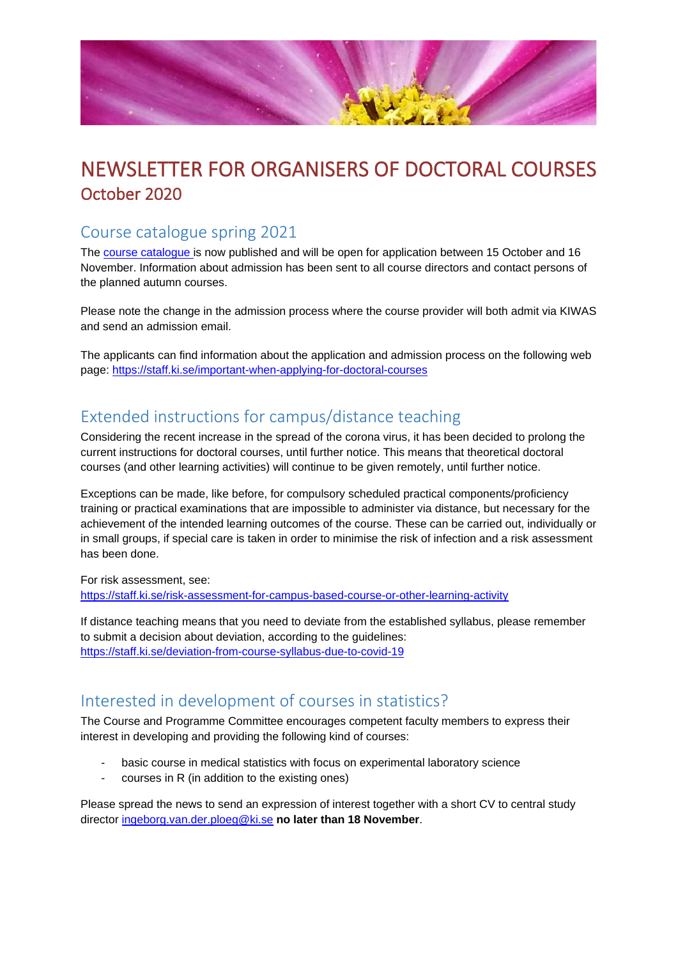

# NEWSLETTER FOR ORGANISERS OF DOCTORAL COURSES October 2020

### Course catalogue spring 2021

The [course catalogue i](https://kiwas.ki.se/katalog/katalog)s now published and will be open for application between 15 October and 16 November. Information about admission has been sent to all course directors and contact persons of the planned autumn courses.

Please note the change in the admission process where the course provider will both admit via KIWAS and send an admission email.

The applicants can find information about the application and admission process on the following web page: <https://staff.ki.se/important-when-applying-for-doctoral-courses>

### Extended instructions for campus/distance teaching

Considering the recent increase in the spread of the corona virus, it has been decided to prolong the current instructions for doctoral courses, until further notice. This means that theoretical doctoral courses (and other learning activities) will continue to be given remotely, until further notice.

Exceptions can be made, like before, for compulsory scheduled practical components/proficiency training or practical examinations that are impossible to administer via distance, but necessary for the achievement of the intended learning outcomes of the course. These can be carried out, individually or in small groups, if special care is taken in order to minimise the risk of infection and a risk assessment has been done.

For risk assessment, see: <https://staff.ki.se/risk-assessment-for-campus-based-course-or-other-learning-activity>

If distance teaching means that you need to deviate from the established syllabus, please remember to submit a decision about deviation, according to the guidelines: <https://staff.ki.se/deviation-from-course-syllabus-due-to-covid-19>

#### Interested in development of courses in statistics?

The Course and Programme Committee encourages competent faculty members to express their interest in developing and providing the following kind of courses:

- basic course in medical statistics with focus on experimental laboratory science
- courses in R (in addition to the existing ones)

Please spread the news to send an expression of interest together with a short CV to central study director [ingeborg.van.der.ploeg@ki.se](mailto:ingeborg.van.der.ploeg@ki.se) **no later than 18 November**.